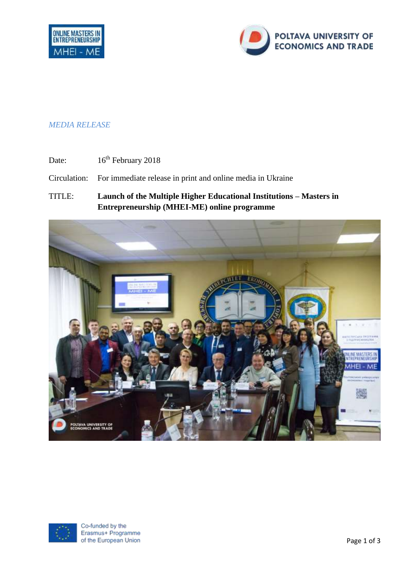

## *MEDIA RELEASE*

Date: 16<sup>th</sup> February 2018

Circulation: For immediate release in print and online media in Ukraine

TITLE: **Launch of the Multiple Higher Educational Institutions – Masters in Entrepreneurship (MHEI-ME) online programme**



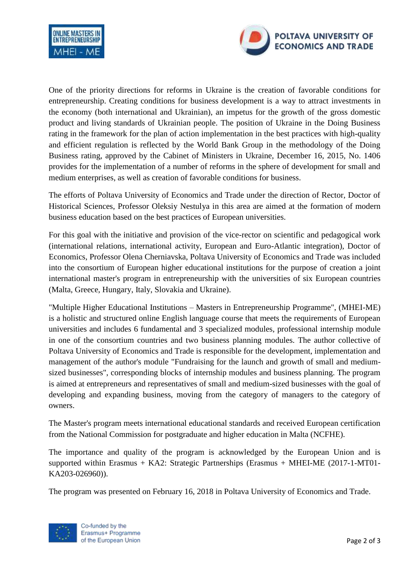



One of the priority directions for reforms in Ukraine is the creation of favorable conditions for entrepreneurship. Creating conditions for business development is a way to attract investments in the economy (both international and Ukrainian), an impetus for the growth of the gross domestic product and living standards of Ukrainian people. The position of Ukraine in the Doing Business rating in the framework for the plan of action implementation in the best practices with high-quality and efficient regulation is reflected by the World Bank Group in the methodology of the Doing Business rating, approved by the Cabinet of Ministers in Ukraine, December 16, 2015, No. 1406 provides for the implementation of a number of reforms in the sphere of development for small and medium enterprises, as well as creation of favorable conditions for business.

The efforts of Poltava University of Economics and Trade under the direction of Rector, Doctor of Historical Sciences, Professor Oleksiy Nestulya in this area are aimed at the formation of modern business education based on the best practices of European universities.

For this goal with the initiative and provision of the vice-rector on scientific and pedagogical work (international relations, international activity, European and Euro-Atlantic integration), Doctor of Economics, Professor Olena Cherniavska, Poltava University of Economics and Trade was included into the consortium of European higher educational institutions for the purpose of creation a joint international master's program in entrepreneurship with the universities of six European countries (Malta, Greece, Hungary, Italy, Slovakia and Ukraine).

"Multiple Higher Educational Institutions – Masters in Entrepreneurship Programme", (MHEI-ME) is a holistic and structured online English language course that meets the requirements of European universities and includes 6 fundamental and 3 specialized modules, professional internship module in one of the consortium countries and two business planning modules. The author collective of Poltava University of Economics and Trade is responsible for the development, implementation and management of the author's module "Fundraising for the launch and growth of small and mediumsized businesses", corresponding blocks of internship modules and business planning. The program is aimed at entrepreneurs and representatives of small and medium-sized businesses with the goal of developing and expanding business, moving from the category of managers to the category of owners.

The Master's program meets international educational standards and received European certification from the National Commission for postgraduate and higher education in Malta (NCFHE).

The importance and quality of the program is acknowledged by the European Union and is supported within Erasmus + KA2: Strategic Partnerships (Erasmus + MHEI-ME (2017-1-MT01- KA203-026960)).

The program was presented on February 16, 2018 in Poltava University of Economics and Trade.